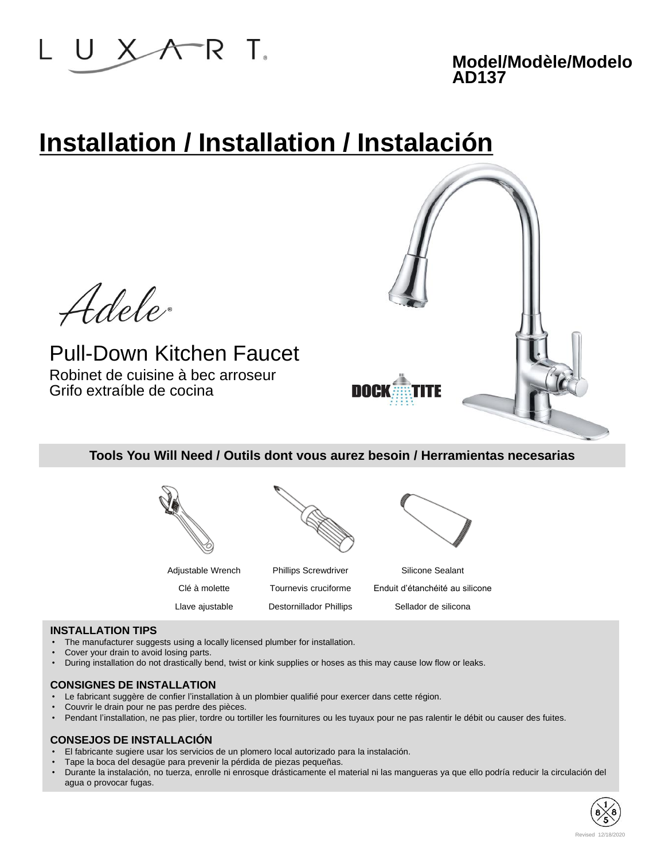

# **Installation / Installation / Instalación**



**Tools You Will Need / Outils dont vous aurez besoin / Herramientas necesarias**



### **INSTALLATION TIPS**

- The manufacturer suggests using a locally licensed plumber for installation.
- Cover your drain to avoid losing parts.
- During installation do not drastically bend, twist or kink supplies or hoses as this may cause low flow or leaks.

### **CONSIGNES DE INSTALLATION**

- Le fabricant suggère de confier l'installation à un plombier qualifié pour exercer dans cette région.
- Couvrir le drain pour ne pas perdre des pièces.
- Pendant l'installation, ne pas plier, tordre ou tortiller les fournitures ou les tuyaux pour ne pas ralentir le débit ou causer des fuites.

### **CONSEJOS DE INSTALLACIÓN**

- El fabricante sugiere usar los servicios de un plomero local autorizado para la instalación.
- Tape la boca del desagüe para prevenir la pérdida de piezas pequeñas.
- Durante la instalación, no tuerza, enrolle ni enrosque drásticamente el material ni las mangueras ya que ello podría reducir la circulación del agua o provocar fugas.

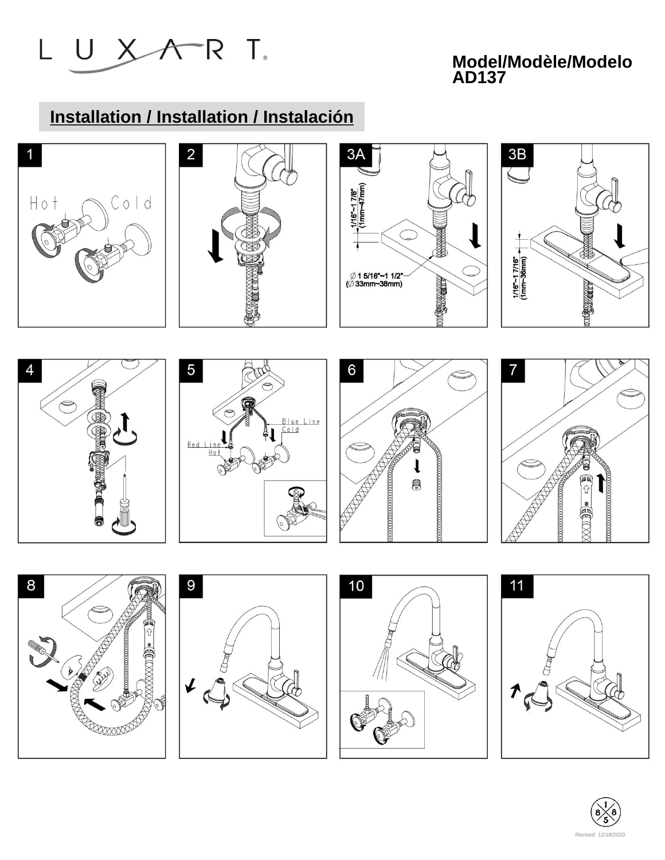

# **Installation / Installation / Instalación**











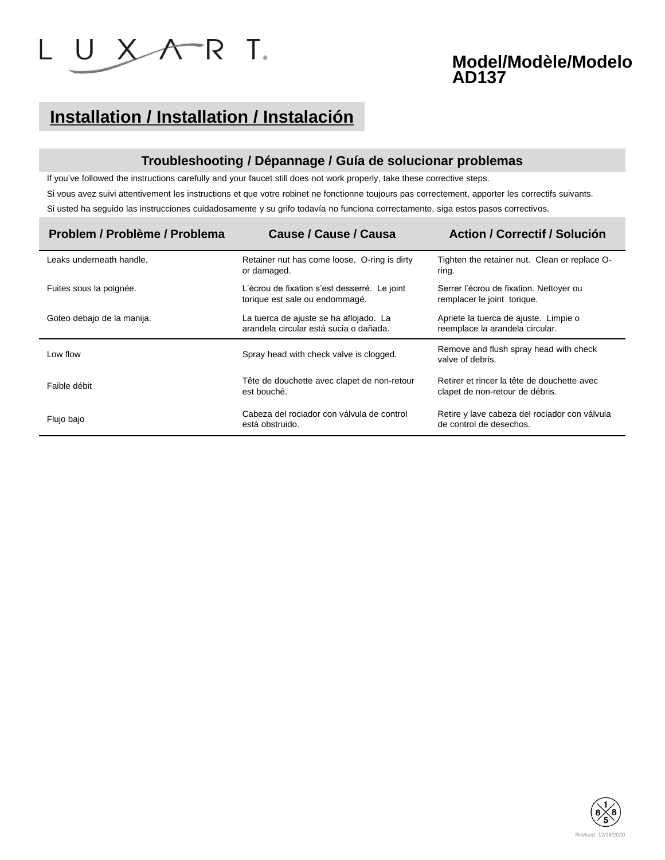

## **Installation / Installation / Instalación**

### **Troubleshooting / Dépannage / Guía de solucionar problemas**

If you've followed the instructions carefully and your faucet still does not work properly, take these corrective steps.

Si vous avez suivi attentivement les instructions et que votre robinet ne fonctionne toujours pas correctement, apporter les correctifs suivants. Si usted ha seguido las instrucciones cuidadosamente y su grifo todavía no funciona correctamente, siga estos pasos correctivos.

| Problem / Problème / Problema | Cause / Cause / Causa                                                            | <b>Action / Correctif / Solución</b>                                           |  |
|-------------------------------|----------------------------------------------------------------------------------|--------------------------------------------------------------------------------|--|
| Leaks underneath handle.      | Retainer nut has come loose. O-ring is dirty<br>or damaged.                      | Tighten the retainer nut. Clean or replace O-<br>ring.                         |  |
| Fuites sous la poignée.       | L'écrou de fixation s'est desserré. Le joint<br>torique est sale ou endommagé.   | Serrer l'écrou de fixation. Nettoyer ou<br>remplacer le joint torique.         |  |
| Goteo debajo de la manija.    | La tuerca de ajuste se ha aflojado. La<br>arandela circular está sucia o dañada. | Apriete la tuerca de ajuste. Limpie o<br>reemplace la arandela circular.       |  |
| Low flow                      | Spray head with check valve is clogged.                                          | Remove and flush spray head with check<br>valve of debris.                     |  |
| Faible débit                  | Tête de douchette avec clapet de non-retour<br>est bouché.                       | Retirer et rincer la tête de douchette avec<br>clapet de non-retour de débris. |  |
| Flujo bajo                    | Cabeza del rociador con válvula de control<br>está obstruido.                    | Retire y lave cabeza del rociador con válvula<br>de control de desechos.       |  |

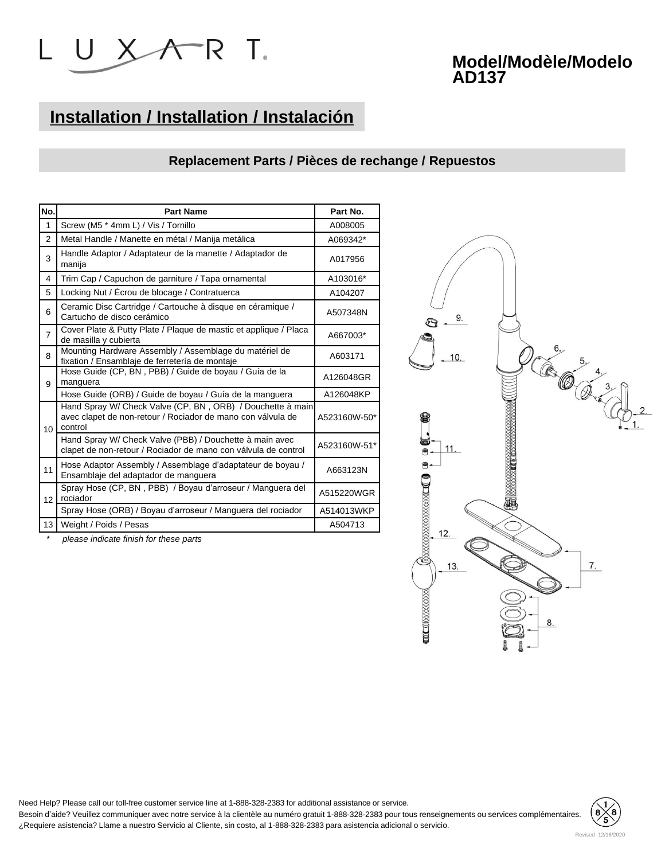

# **Installation / Installation / Instalación**

### **Replacement Parts / Pièces de rechange / Repuestos**

| No.            | <b>Part Name</b>                                                                                                                     | Part No.     |
|----------------|--------------------------------------------------------------------------------------------------------------------------------------|--------------|
| 1              | Screw (M5 * 4mm L) / Vis / Tornillo                                                                                                  | A008005      |
| $\overline{2}$ | Metal Handle / Manette en métal / Manija metálica                                                                                    | A069342*     |
| 3              | Handle Adaptor / Adaptateur de la manette / Adaptador de<br>manija                                                                   | A017956      |
| 4              | Trim Cap / Capuchon de garniture / Tapa ornamental                                                                                   | A103016*     |
| 5              | Locking Nut / Écrou de blocage / Contratuerca                                                                                        | A104207      |
| 6              | Ceramic Disc Cartridge / Cartouche à disque en céramique /<br>Cartucho de disco cerámico                                             | A507348N     |
| $\overline{7}$ | Cover Plate & Putty Plate / Plaque de mastic et applique / Placa<br>de masilla y cubierta                                            | A667003*     |
| 8              | Mounting Hardware Assembly / Assemblage du matériel de<br>fixation / Ensamblaje de ferretería de montaje                             | A603171      |
| 9              | Hose Guide (CP, BN, PBB) / Guide de boyau / Guía de la<br>manguera                                                                   | A126048GR    |
|                | Hose Guide (ORB) / Guide de boyau / Guía de la manguera                                                                              | A126048KP    |
| 10             | Hand Spray W/ Check Valve (CP, BN, ORB) / Douchette à main<br>avec clapet de non-retour / Rociador de mano con válvula de<br>control | A523160W-50* |
|                | Hand Spray W/ Check Valve (PBB) / Douchette à main avec<br>clapet de non-retour / Rociador de mano con válvula de control            | A523160W-51* |
| 11             | Hose Adaptor Assembly / Assemblage d'adaptateur de boyau /<br>Ensamblaje del adaptador de manguera                                   | A663123N     |
| 12             | Spray Hose (CP, BN, PBB) / Boyau d'arroseur / Manguera del<br>rociador                                                               | A515220WGR   |
|                | Spray Hose (ORB) / Boyau d'arroseur / Manguera del rociador                                                                          | A514013WKP   |
| 13             | Weight / Poids / Pesas                                                                                                               | A504713      |

\* *please indicate finish for these parts*



Need Help? Please call our toll-free customer service line at 1-888-328-2383 for additional assistance or service.

Besoin d'aide? Veuillez communiquer avec notre service à la clientèle au numéro gratuit 1-888-328-2383 pour tous renseignements ou services complémentaires. ¿Requiere asistencia? Llame a nuestro Servicio al Cliente, sin costo, al 1-888-328-2383 para asistencia adicional o servicio.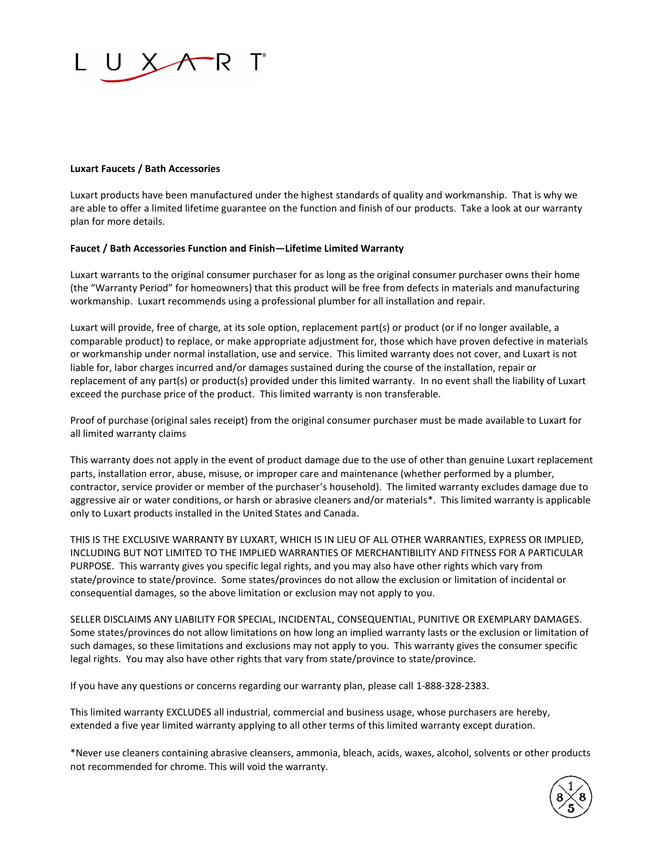

### **Luxart Faucets / Bath Accessories**

Luxart products have been manufactured under the highest standards of quality and workmanship. That is why we are able to offer a limited lifetime guarantee on the function and finish of our products. Take a look at our warranty plan for more details.

#### **Faucet / Bath Accessories Function and Finish—Lifetime Limited Warranty**

Luxart warrants to the original consumer purchaser for as long as the original consumer purchaser owns their home (the "Warranty Period" for homeowners) that this product will be free from defects in materials and manufacturing workmanship. Luxart recommends using a professional plumber for all installation and repair.

Luxart will provide, free of charge, at its sole option, replacement part(s) or product (or if no longer available, a comparable product) to replace, or make appropriate adjustment for, those which have proven defective in materials or workmanship under normal installation, use and service. This limited warranty does not cover, and Luxart is not liable for, labor charges incurred and/or damages sustained during the course of the installation, repair or replacement of any part(s) or product(s) provided under this limited warranty. In no event shall the liability of Luxart exceed the purchase price of the product. This limited warranty is non transferable.

Proof of purchase (original sales receipt) from the original consumer purchaser must be made available to Luxart for all limited warranty claims

This warranty does not apply in the event of product damage due to the use of other than genuine Luxart replacement parts, installation error, abuse, misuse, or improper care and maintenance (whether performed by a plumber, contractor, service provider or member of the purchaser's household). The limited warranty excludes damage due to aggressive air or water conditions, or harsh or abrasive cleaners and/or materials\*. This limited warranty is applicable only to Luxart products installed in the United States and Canada.

THIS IS THE EXCLUSIVE WARRANTY BY LUXART, WHICH IS IN LIEU OF ALL OTHER WARRANTIES, EXPRESS OR IMPLIED, INCLUDING BUT NOT LIMITED TO THE IMPLIED WARRANTIES OF MERCHANTIBILITY AND FITNESS FOR A PARTICULAR PURPOSE. This warranty gives you specific legal rights, and you may also have other rights which vary from state/province to state/province. Some states/provinces do not allow the exclusion or limitation of incidental or consequential damages, so the above limitation or exclusion may not apply to you.

SELLER DISCLAIMS ANY LIABILITY FOR SPECIAL, INCIDENTAL, CONSEQUENTIAL, PUNITIVE OR EXEMPLARY DAMAGES. Some states/provinces do not allow limitations on how long an implied warranty lasts or the exclusion or limitation of such damages, so these limitations and exclusions may not apply to you. This warranty gives the consumer specific legal rights. You may also have other rights that vary from state/province to state/province.

If you have any questions or concerns regarding our warranty plan, please call 1-888-328-2383.

This limited warranty EXCLUDES all industrial, commercial and business usage, whose purchasers are hereby, extended a five year limited warranty applying to all other terms of this limited warranty except duration.

\*Never use cleaners containing abrasive cleansers, ammonia, bleach, acids, waxes, alcohol, solvents or other products not recommended for chrome. This will void the warranty.